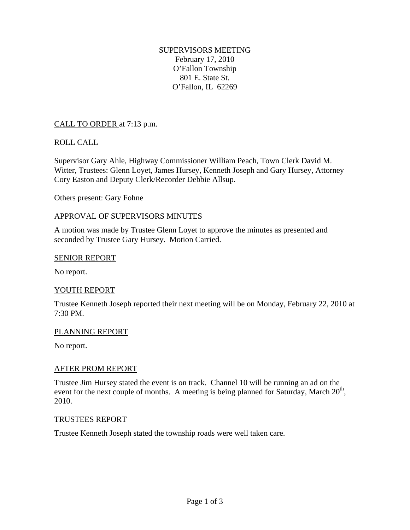# SUPERVISORS MEETING

February 17, 2010 O'Fallon Township 801 E. State St. O'Fallon, IL 62269

# CALL TO ORDER at 7:13 p.m.

# ROLL CALL

Supervisor Gary Ahle, Highway Commissioner William Peach, Town Clerk David M. Witter, Trustees: Glenn Loyet, James Hursey, Kenneth Joseph and Gary Hursey, Attorney Cory Easton and Deputy Clerk/Recorder Debbie Allsup.

Others present: Gary Fohne

## APPROVAL OF SUPERVISORS MINUTES

A motion was made by Trustee Glenn Loyet to approve the minutes as presented and seconded by Trustee Gary Hursey. Motion Carried.

### SENIOR REPORT

No report.

## YOUTH REPORT

Trustee Kenneth Joseph reported their next meeting will be on Monday, February 22, 2010 at 7:30 PM.

#### PLANNING REPORT

No report.

## AFTER PROM REPORT

Trustee Jim Hursey stated the event is on track. Channel 10 will be running an ad on the event for the next couple of months. A meeting is being planned for Saturday, March  $20<sup>th</sup>$ , 2010.

#### TRUSTEES REPORT

Trustee Kenneth Joseph stated the township roads were well taken care.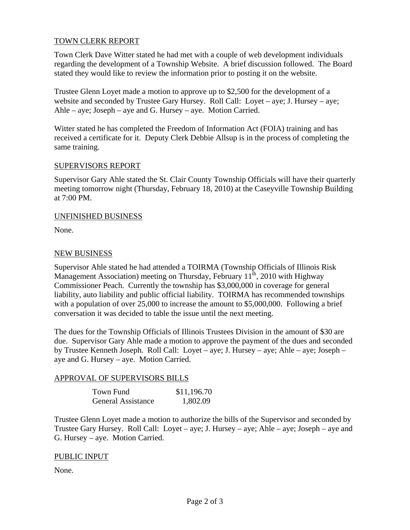# TOWN CLERK REPORT

Town Clerk Dave Witter stated he had met with a couple of web development individuals regarding the development of a Township Website. A brief discussion followed. The Board stated they would like to review the information prior to posting it on the website.

Trustee Glenn Loyet made a motion to approve up to \$2,500 for the development of a website and seconded by Trustee Gary Hursey. Roll Call: Loyet – aye; J. Hursey – aye; Ahle – aye; Joseph – aye and G. Hursey – aye. Motion Carried.

Witter stated he has completed the Freedom of Information Act (FOIA) training and has received a certificate for it. Deputy Clerk Debbie Allsup is in the process of completing the same training.

### SUPERVISORS REPORT

Supervisor Gary Ahle stated the St. Clair County Township Officials will have their quarterly meeting tomorrow night (Thursday, February 18, 2010) at the Caseyville Township Building at 7:00 PM.

### UNFINISHED BUSINESS

None.

## NEW BUSINESS

Supervisor Ahle stated he had attended a TOIRMA (Township Officials of Illinois Risk Management Association) meeting on Thursday, February  $11<sup>th</sup>$ , 2010 with Highway Commissioner Peach. Currently the township has \$3,000,000 in coverage for general liability, auto liability and public official liability. TOIRMA has recommended townships with a population of over 25,000 to increase the amount to \$5,000,000. Following a brief conversation it was decided to table the issue until the next meeting.

The dues for the Township Officials of Illinois Trustees Division in the amount of \$30 are due. Supervisor Gary Ahle made a motion to approve the payment of the dues and seconded by Trustee Kenneth Joseph. Roll Call: Loyet – aye; J. Hursey – aye; Ahle – aye; Joseph – aye and G. Hursey – aye. Motion Carried.

## APPROVAL OF SUPERVISORS BILLS

| Town Fund                 | \$11,196.70 |
|---------------------------|-------------|
| <b>General Assistance</b> | 1,802.09    |

Trustee Glenn Loyet made a motion to authorize the bills of the Supervisor and seconded by Trustee Gary Hursey. Roll Call: Loyet – aye; J. Hursey – aye; Ahle – aye; Joseph – aye and G. Hursey – aye. Motion Carried.

## PUBLIC INPUT

None.